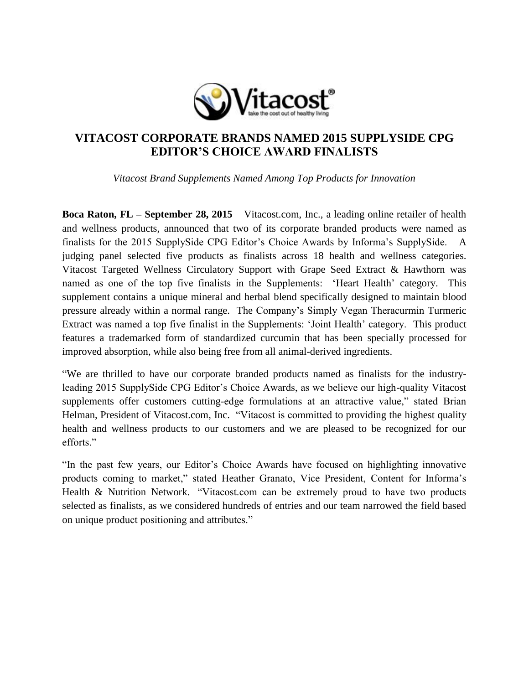

## **VITACOST CORPORATE BRANDS NAMED 2015 SUPPLYSIDE CPG EDITOR'S CHOICE AWARD FINALISTS**

*Vitacost Brand Supplements Named Among Top Products for Innovation* 

**Boca Raton, FL – September 28, 2015** – Vitacost.com, Inc., a leading online retailer of health and wellness products, announced that two of its corporate branded products were named as finalists for the 2015 SupplySide CPG Editor's Choice Awards by Informa's SupplySide. A judging panel selected five products as finalists across 18 health and wellness categories. Vitacost Targeted Wellness Circulatory Support with Grape Seed Extract & Hawthorn was named as one of the top five finalists in the Supplements: 'Heart Health' category. This supplement contains a unique mineral and herbal blend specifically designed to maintain blood pressure already within a normal range. The Company's Simply Vegan Theracurmin Turmeric Extract was named a top five finalist in the Supplements: 'Joint Health' category. This product features a trademarked form of standardized curcumin that has been specially processed for improved absorption, while also being free from all animal-derived ingredients.

"We are thrilled to have our corporate branded products named as finalists for the industryleading 2015 SupplySide CPG Editor's Choice Awards, as we believe our high-quality Vitacost supplements offer customers cutting-edge formulations at an attractive value," stated Brian Helman, President of Vitacost.com, Inc. "Vitacost is committed to providing the highest quality health and wellness products to our customers and we are pleased to be recognized for our efforts."

"In the past few years, our Editor's Choice Awards have focused on highlighting innovative products coming to market," stated Heather Granato, Vice President, Content for Informa's Health & Nutrition Network. "Vitacost.com can be extremely proud to have two products selected as finalists, as we considered hundreds of entries and our team narrowed the field based on unique product positioning and attributes."